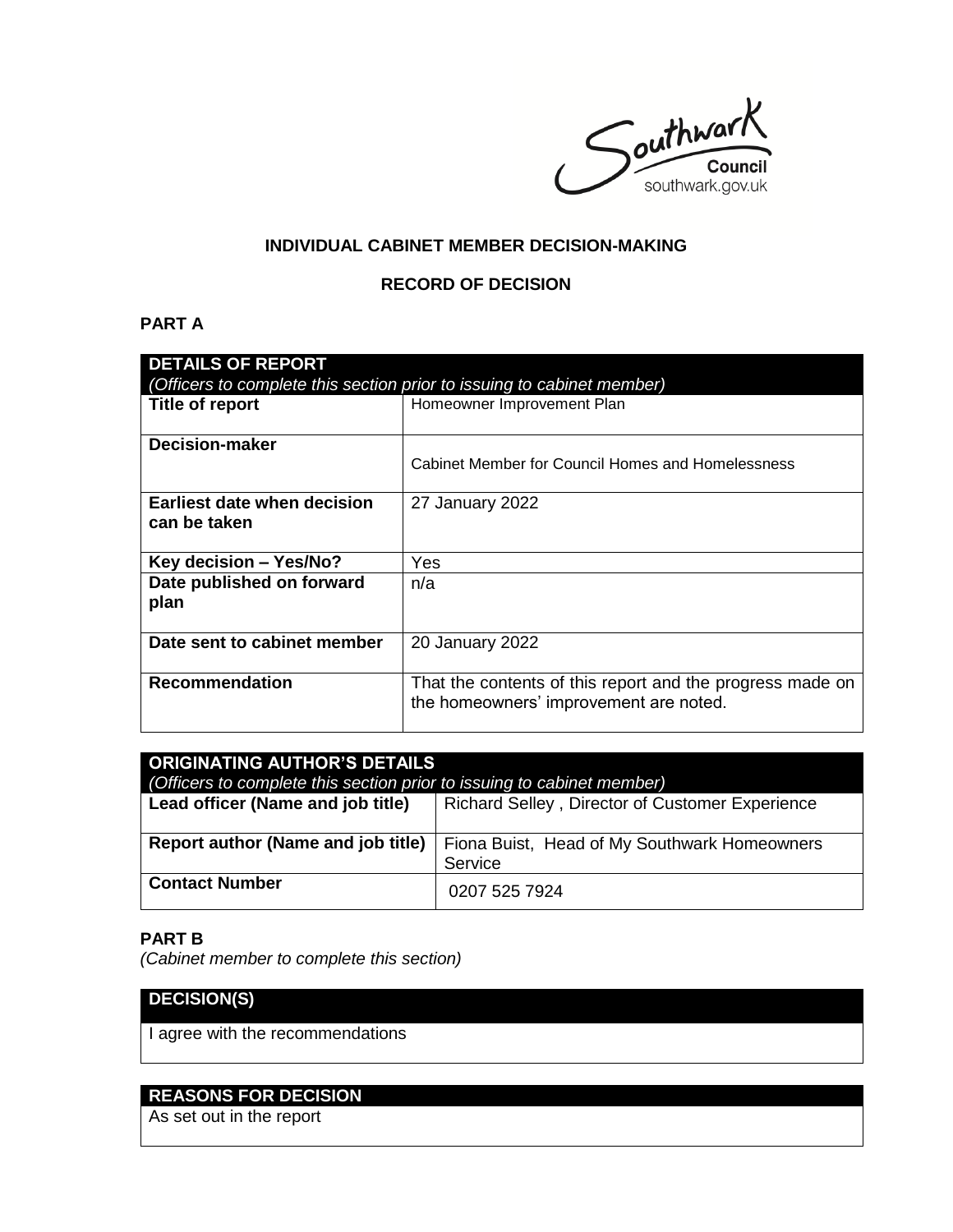$S$  outhwark southwark.gov.uk

### **INDIVIDUAL CABINET MEMBER DECISION-MAKING**

### **RECORD OF DECISION**

### **PART A**

| <b>DETAILS OF REPORT</b><br>(Officers to complete this section prior to issuing to cabinet member) |                                                                                                     |  |
|----------------------------------------------------------------------------------------------------|-----------------------------------------------------------------------------------------------------|--|
| Title of report                                                                                    | Homeowner Improvement Plan                                                                          |  |
| <b>Decision-maker</b>                                                                              | Cabinet Member for Council Homes and Homelessness                                                   |  |
| Earliest date when decision<br>can be taken                                                        | 27 January 2022                                                                                     |  |
| Key decision - Yes/No?                                                                             | Yes                                                                                                 |  |
| Date published on forward<br>plan                                                                  | n/a                                                                                                 |  |
| Date sent to cabinet member                                                                        | 20 January 2022                                                                                     |  |
| <b>Recommendation</b>                                                                              | That the contents of this report and the progress made on<br>the homeowners' improvement are noted. |  |

| <b>ORIGINATING AUTHOR'S DETAILS</b>                                    |                                                 |  |
|------------------------------------------------------------------------|-------------------------------------------------|--|
| (Officers to complete this section prior to issuing to cabinet member) |                                                 |  |
| Lead officer (Name and job title)                                      | Richard Selley, Director of Customer Experience |  |
|                                                                        |                                                 |  |
| Report author (Name and job title)                                     | Fiona Buist, Head of My Southwark Homeowners    |  |
|                                                                        | Service                                         |  |
| <b>Contact Number</b>                                                  | 0207 525 7924                                   |  |

### **PART B**

*(Cabinet member to complete this section)* 

# **DECISION(S)**

I agree with the recommendations

## **REASONS FOR DECISION**

As set out in the report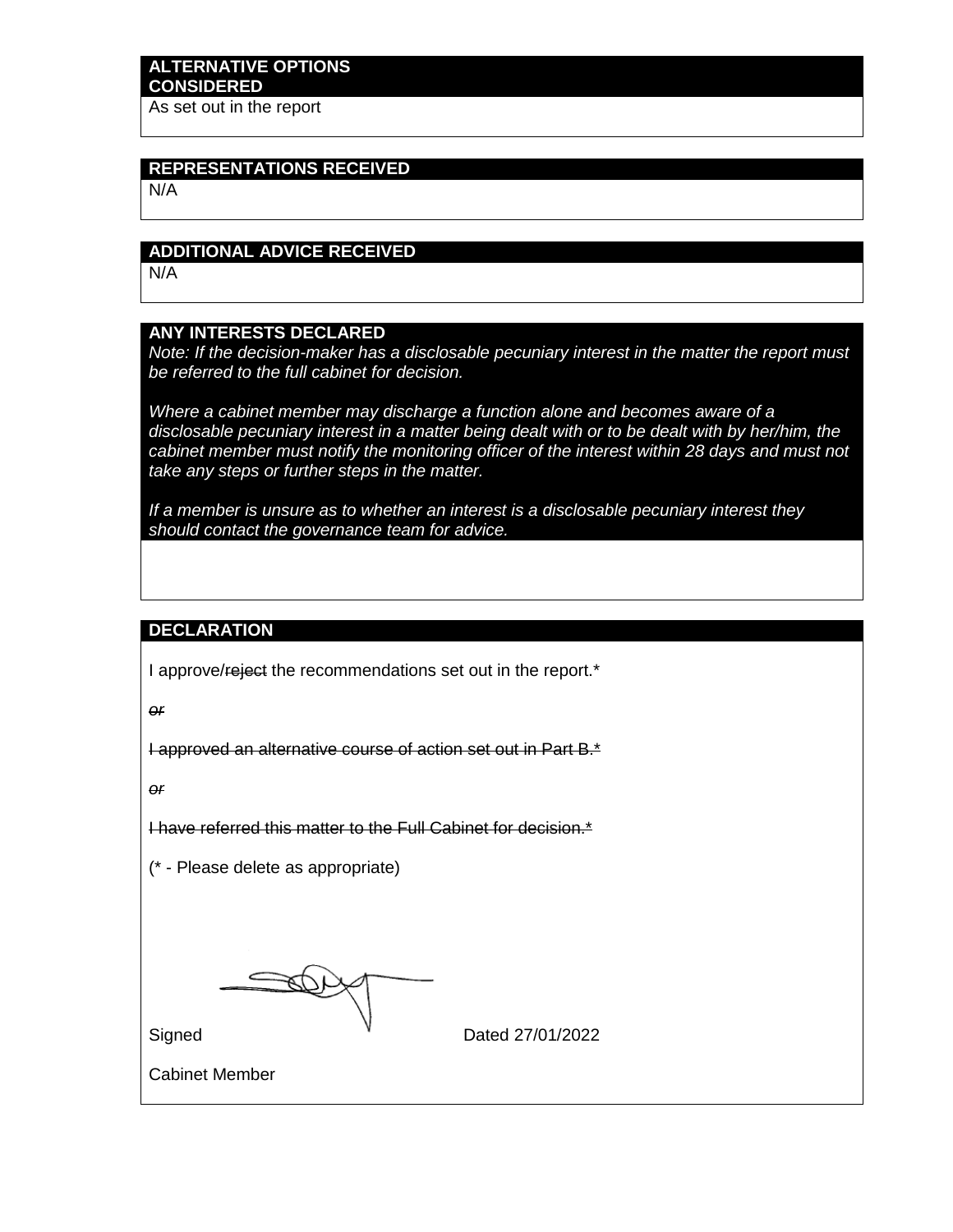# **ALTERNATIVE OPTIONS CONSIDERED**

As set out in the report

# **REPRESENTATIONS RECEIVED**

N/A

### **ADDITIONAL ADVICE RECEIVED**

N/A

### **ANY INTERESTS DECLARED**

*Note: If the decision-maker has a disclosable pecuniary interest in the matter the report must be referred to the full cabinet for decision.*

*Where a cabinet member may discharge a function alone and becomes aware of a disclosable pecuniary interest in a matter being dealt with or to be dealt with by her/him, the*  cabinet member must notify the monitoring officer of the interest within 28 days and must not *take any steps or further steps in the matter.*

*If a member is unsure as to whether an interest is a disclosable pecuniary interest they should contact the governance team for advice.*

#### **DECLARATION**

I approve/reject the recommendations set out in the report.<sup>\*</sup>

*or*

I approved an alternative course of action set out in Part B.\*

*or*

I have referred this matter to the Full Cabinet for decision.\*

(\* - Please delete as appropriate)

Î

Signed **Dated 27/01/2022** 

Cabinet Member